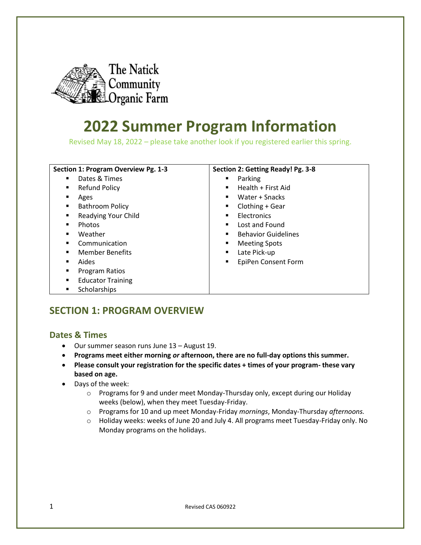

# **2022 Summer Program Information**

Revised May 18, 2022 – please take another look if you registered earlier this spring.

| Section 1: Program Overview Pg. 1-3 | Section 2: Getting Ready! Pg. 3-8 |
|-------------------------------------|-----------------------------------|
| Dates & Times                       | Parking                           |
| ٠                                   | ٠                                 |
| <b>Refund Policy</b>                | Health + First Aid                |
| ٠                                   |                                   |
| Ages                                | Water + Snacks                    |
| ٠                                   | ٠                                 |
| <b>Bathroom Policy</b>              | Clothing + Gear                   |
| ٠                                   | ٠                                 |
| Readying Your Child                 | Electronics                       |
| ٠                                   | ٠                                 |
| Photos                              | Lost and Found                    |
| ٠                                   | $\blacksquare$                    |
| Weather                             | <b>Behavior Guidelines</b>        |
| $\blacksquare$                      | ٠                                 |
| Communication                       | <b>Meeting Spots</b>              |
| $\blacksquare$                      | ٠                                 |
| <b>Member Benefits</b>              | Late Pick-up                      |
| $\blacksquare$                      | ٠                                 |
| Aides                               | EpiPen Consent Form               |
| ٠                                   | ٠                                 |
| Program Ratios<br>٠                 |                                   |
| <b>Educator Training</b><br>٠       |                                   |
| Scholarships<br>٠                   |                                   |

# **SECTION 1: PROGRAM OVERVIEW**

# **Dates & Times**

- Our summer season runs June 13 August 19.
- **Programs meet either morning** *or* **afternoon, there are no full-day options this summer.**
- **Please consult your registration for the specific dates + times of your program- these vary based on age.**
- Days of the week:
	- $\circ$  Programs for 9 and under meet Monday-Thursday only, except during our Holiday weeks (below), when they meet Tuesday-Friday.
	- o Programs for 10 and up meet Monday-Friday *mornings*, Monday-Thursday *afternoons.*
	- o Holiday weeks: weeks of June 20 and July 4. All programs meet Tuesday-Friday only. No Monday programs on the holidays.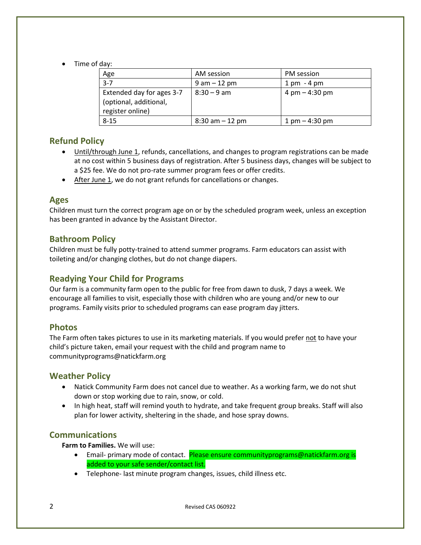• Time of day:

| Age                                                                     | AM session         | PM session                       |
|-------------------------------------------------------------------------|--------------------|----------------------------------|
| $3 - 7$                                                                 | $9$ am $-12$ pm    | $1 \text{ pm} - 4 \text{ pm}$    |
| Extended day for ages 3-7<br>(optional, additional,<br>register online) | $8:30 - 9$ am      | 4 pm $-$ 4:30 pm                 |
| $8 - 15$                                                                | $8:30$ am $-12$ pm | $1 \text{ pm} - 4:30 \text{ pm}$ |

# **Refund Policy**

- Until/through June 1, refunds, cancellations, and changes to program registrations can be made at no cost within 5 business days of registration. After 5 business days, changes will be subject to a \$25 fee. We do not pro-rate summer program fees or offer credits.
- After June 1, we do not grant refunds for cancellations or changes.

# **Ages**

Children must turn the correct program age on or by the scheduled program week, unless an exception has been granted in advance by the Assistant Director.

# **Bathroom Policy**

Children must be fully potty-trained to attend summer programs. Farm educators can assist with toileting and/or changing clothes, but do not change diapers.

# **Readying Your Child for Programs**

Our farm is a community farm open to the public for free from dawn to dusk, 7 days a week. We encourage all families to visit, especially those with children who are young and/or new to our programs. Family visits prior to scheduled programs can ease program day jitters.

# **Photos**

The Farm often takes pictures to use in its marketing materials. If you would prefer not to have your child's picture taken, email your request with the child and program name to communityprograms@natickfarm.org

# **Weather Policy**

- Natick Community Farm does not cancel due to weather. As a working farm, we do not shut down or stop working due to rain, snow, or cold.
- In high heat, staff will remind youth to hydrate, and take frequent group breaks. Staff will also plan for lower activity, sheltering in the shade, and hose spray downs.

# **Communications**

**Farm to Families.** We will use:

- Email- primary mode of contact. Please ensure communityprograms@natickfarm.org is added to your safe sender/contact list.
- Telephone- last minute program changes, issues, child illness etc.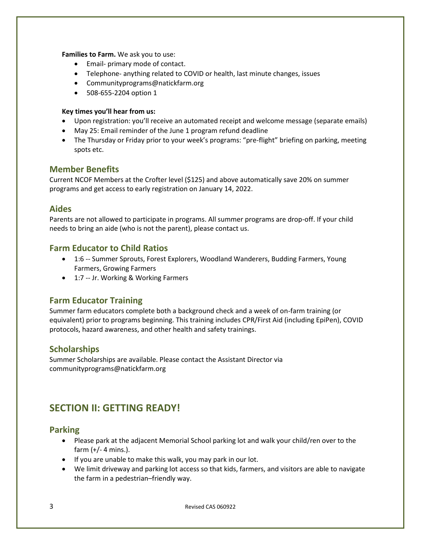**Families to Farm.** We ask you to use:

- Email- primary mode of contact.
- Telephone- anything related to COVID or health, last minute changes, issues
- Communityprograms@natickfarm.org
- 508-655-2204 option 1

#### **Key times you'll hear from us:**

- Upon registration: you'll receive an automated receipt and welcome message (separate emails)
- May 25: Email reminder of the June 1 program refund deadline
- The Thursday or Friday prior to your week's programs: "pre-flight" briefing on parking, meeting spots etc.

# **Member Benefits**

Current NCOF Members at the Crofter level (\$125) and above automatically save 20% on summer programs and get access to early registration on January 14, 2022.

### **Aides**

Parents are not allowed to participate in programs. All summer programs are drop-off. If your child needs to bring an aide (who is not the parent), please contact us.

# **Farm Educator to Child Ratios**

- 1:6 -- Summer Sprouts, Forest Explorers, Woodland Wanderers, Budding Farmers, Young Farmers, Growing Farmers
- 1:7 -- Jr. Working & Working Farmers

# **Farm Educator Training**

Summer farm educators complete both a background check and a week of on-farm training (or equivalent) prior to programs beginning. This training includes CPR/First Aid (including EpiPen), COVID protocols, hazard awareness, and other health and safety trainings.

# **Scholarships**

Summer Scholarships are available. Please contact the Assistant Director via communityprograms@natickfarm.org

# **SECTION II: GETTING READY!**

#### **Parking**

- Please park at the adjacent Memorial School parking lot and walk your child/ren over to the farm (+/- 4 mins.).
- If you are unable to make this walk, you may park in our lot.
- We limit driveway and parking lot access so that kids, farmers, and visitors are able to navigate the farm in a pedestrian–friendly way.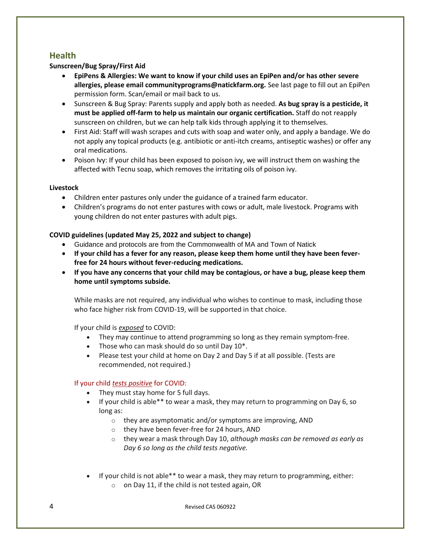# **Health**

#### **Sunscreen/Bug Spray/First Aid**

- **EpiPens & Allergies: We want to know if your child uses an EpiPen and/or has other severe allergies, please email communityprograms@natickfarm.org.** See last page to fill out an EpiPen permission form. Scan/email or mail back to us.
- Sunscreen & Bug Spray: Parents supply and apply both as needed. **As bug spray is a pesticide, it must be applied off-farm to help us maintain our organic certification.** Staff do not reapply sunscreen on children, but we can help talk kids through applying it to themselves.
- First Aid: Staff will wash scrapes and cuts with soap and water only, and apply a bandage. We do not apply any topical products (e.g. antibiotic or anti-itch creams, antiseptic washes) or offer any oral medications.
- Poison Ivy: If your child has been exposed to poison ivy, we will instruct them on washing the affected with Tecnu soap, which removes the irritating oils of poison ivy.

#### **Livestock**

- Children enter pastures only under the guidance of a trained farm educator.
- Children's programs do not enter pastures with cows or adult, male livestock. Programs with young children do not enter pastures with adult pigs.

#### **COVID guidelines (updated May 25, 2022 and subject to change)**

- Guidance and protocols are from the Commonwealth of MA and Town of Natick
- **If your child has a fever for any reason, please keep them home until they have been feverfree for 24 hours without fever-reducing medications.**
- **If you have any concerns that your child may be contagious, or have a bug, please keep them home until symptoms subside.**

While masks are not required, any individual who wishes to continue to mask, including those who face higher risk from COVID-19, will be supported in that choice.

If your child is *exposed* to COVID:

- They may continue to attend programming so long as they remain symptom-free.
- Those who can mask should do so until Day 10<sup>\*</sup>.
- Please test your child at home on Day 2 and Day 5 if at all possible. (Tests are recommended, not required.)

#### If your child *tests positive* for COVID:

- They must stay home for 5 full days.
- If your child is able\*\* to wear a mask, they may return to programming on Day 6, so long as:
	- o they are asymptomatic and/or symptoms are improving, AND
	- o they have been fever-free for 24 hours, AND
	- o they wear a mask through Day 10, *although masks can be removed as early as Day 6 so long as the child tests negative.*
- If your child is not able\*\* to wear a mask, they may return to programming, either: o on Day 11, if the child is not tested again, OR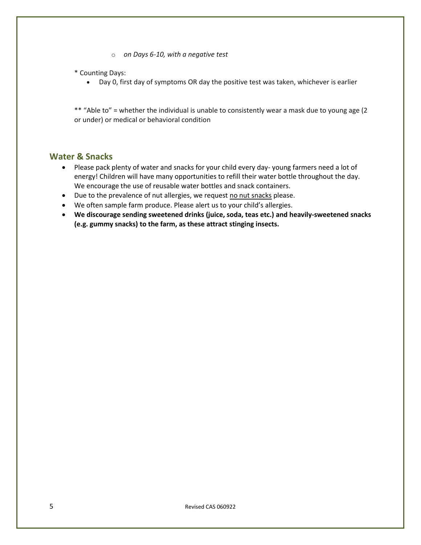- o *on Days 6-10, with a negative test*
- \* Counting Days:
	- Day 0, first day of symptoms OR day the positive test was taken, whichever is earlier

\*\* "Able to" = whether the individual is unable to consistently wear a mask due to young age (2 or under) or medical or behavioral condition

# **Water & Snacks**

- Please pack plenty of water and snacks for your child every day- young farmers need a lot of energy! Children will have many opportunities to refill their water bottle throughout the day. We encourage the use of reusable water bottles and snack containers.
- Due to the prevalence of nut allergies, we request no nut snacks please.
- We often sample farm produce. Please alert us to your child's allergies.
- **We discourage sending sweetened drinks (juice, soda, teas etc.) and heavily-sweetened snacks (e.g. gummy snacks) to the farm, as these attract stinging insects.**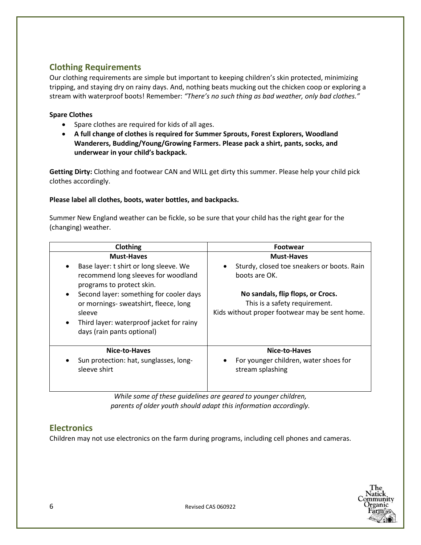# **Clothing Requirements**

Our clothing requirements are simple but important to keeping children's skin protected, minimizing tripping, and staying dry on rainy days. And, nothing beats mucking out the chicken coop or exploring a stream with waterproof boots! Remember: *"There's no such thing as bad weather, only bad clothes."*

#### **Spare Clothes**

- Spare clothes are required for kids of all ages.
- **A full change of clothes is required for Summer Sprouts, Forest Explorers, Woodland Wanderers, Budding/Young/Growing Farmers. Please pack a shirt, pants, socks, and underwear in your child's backpack.**

**Getting Dirty:** Clothing and footwear CAN and WILL get dirty this summer. Please help your child pick clothes accordingly.

#### **Please label all clothes, boots, water bottles, and backpacks.**

Summer New England weather can be fickle, so be sure that your child has the right gear for the (changing) weather.

| Clothing                                                                                                                                                                                      | <b>Footwear</b>                                                                                                      |
|-----------------------------------------------------------------------------------------------------------------------------------------------------------------------------------------------|----------------------------------------------------------------------------------------------------------------------|
| <b>Must-Haves</b>                                                                                                                                                                             | <b>Must-Haves</b>                                                                                                    |
| Base layer: t shirt or long sleeve. We<br>$\bullet$<br>recommend long sleeves for woodland<br>programs to protect skin.                                                                       | Sturdy, closed toe sneakers or boots. Rain<br>٠<br>boots are OK.                                                     |
| Second layer: something for cooler days<br>$\bullet$<br>or mornings-sweatshirt, fleece, long<br>sleeve<br>Third layer: waterproof jacket for rainy<br>$\bullet$<br>days (rain pants optional) | No sandals, flip flops, or Crocs.<br>This is a safety requirement.<br>Kids without proper footwear may be sent home. |
| Nice-to-Haves<br>Sun protection: hat, sunglasses, long-<br>sleeve shirt                                                                                                                       | Nice-to-Haves<br>For younger children, water shoes for<br>stream splashing                                           |

*While some of these guidelines are geared to younger children, parents of older youth should adapt this information accordingly.*

# **Electronics**

Children may not use electronics on the farm during programs, including cell phones and cameras.

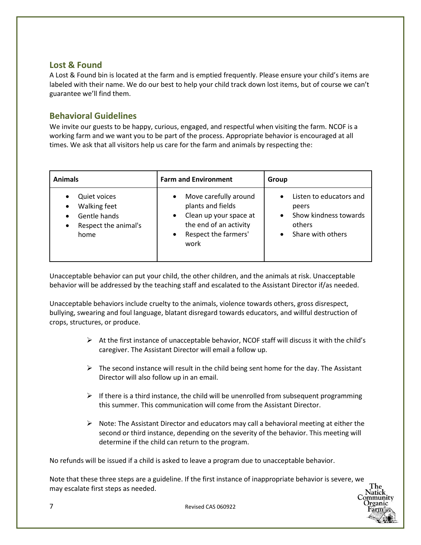# **Lost & Found**

A Lost & Found bin is located at the farm and is emptied frequently. Please ensure your child's items are labeled with their name. We do our best to help your child track down lost items, but of course we can't guarantee we'll find them.

# **Behavioral Guidelines**

We invite our guests to be happy, curious, engaged, and respectful when visiting the farm. NCOF is a working farm and we want you to be part of the process. Appropriate behavior is encouraged at all times. We ask that all visitors help us care for the farm and animals by respecting the:

| <b>Animals</b>                                                                                                | <b>Farm and Environment</b>                                                                                                                              | Group                                                                                                              |
|---------------------------------------------------------------------------------------------------------------|----------------------------------------------------------------------------------------------------------------------------------------------------------|--------------------------------------------------------------------------------------------------------------------|
| <b>Quiet voices</b><br>Walking feet<br>$\bullet$<br>Gentle hands<br>Respect the animal's<br>$\bullet$<br>home | Move carefully around<br>$\bullet$<br>plants and fields<br>Clean up your space at<br>$\bullet$<br>the end of an activity<br>Respect the farmers'<br>work | Listen to educators and<br>$\bullet$<br>peers<br>Show kindness towards<br>$\bullet$<br>others<br>Share with others |

Unacceptable behavior can put your child, the other children, and the animals at risk. Unacceptable behavior will be addressed by the teaching staff and escalated to the Assistant Director if/as needed.

Unacceptable behaviors include cruelty to the animals, violence towards others, gross disrespect, bullying, swearing and foul language, blatant disregard towards educators, and willful destruction of crops, structures, or produce.

- $\triangleright$  At the first instance of unacceptable behavior, NCOF staff will discuss it with the child's caregiver. The Assistant Director will email a follow up.
- $\triangleright$  The second instance will result in the child being sent home for the day. The Assistant Director will also follow up in an email.
- $\triangleright$  If there is a third instance, the child will be unenrolled from subsequent programming this summer. This communication will come from the Assistant Director.
- $\triangleright$  Note: The Assistant Director and educators may call a behavioral meeting at either the second or third instance, depending on the severity of the behavior. This meeting will determine if the child can return to the program.

No refunds will be issued if a child is asked to leave a program due to unacceptable behavior.

Note that these three steps are a guideline. If the first instance of inappropriate behavior is severe, we may escalate first steps as needed.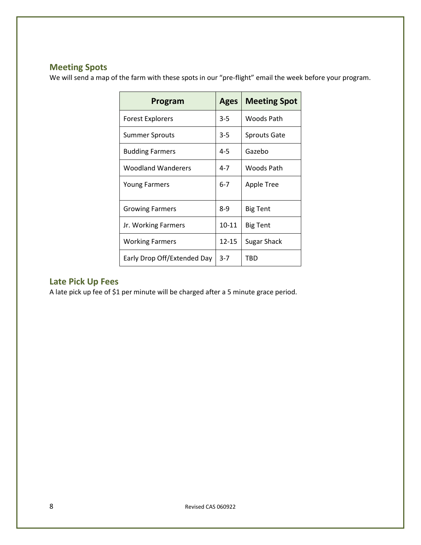# **Meeting Spots**

We will send a map of the farm with these spots in our "pre-flight" email the week before your program.

| Program                     | <b>Ages</b> | <b>Meeting Spot</b> |
|-----------------------------|-------------|---------------------|
| Forest Explorers            | 3-5         | Woods Path          |
| Summer Sprouts              | 3-5         | <b>Sprouts Gate</b> |
| <b>Budding Farmers</b>      | $4 - 5$     | Gazebo              |
| <b>Woodland Wanderers</b>   | 4-7         | Woods Path          |
| <b>Young Farmers</b>        | $6 - 7$     | Apple Tree          |
| <b>Growing Farmers</b>      | $8-9$       | <b>Big Tent</b>     |
| Jr. Working Farmers         | 10-11       | <b>Big Tent</b>     |
| <b>Working Farmers</b>      | 12-15       | Sugar Shack         |
| Early Drop Off/Extended Day | $3 - 7$     | TBD                 |

# **Late Pick Up Fees**

A late pick up fee of \$1 per minute will be charged after a 5 minute grace period.